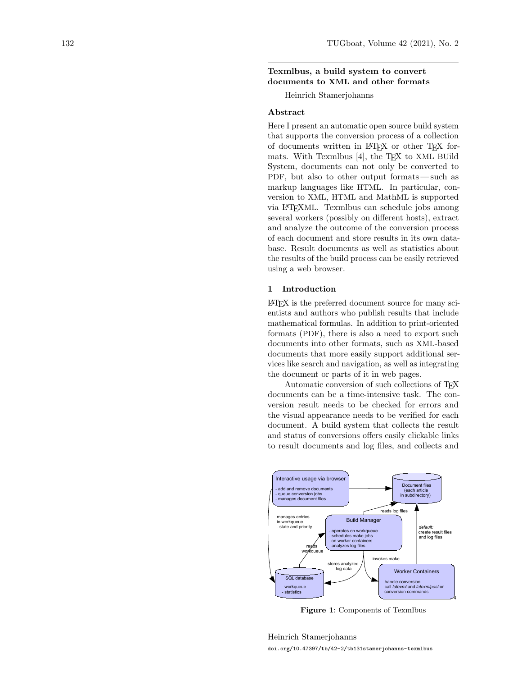# Texmlbus, a build system to convert documents to XML and other formats

Heinrich Stamerjohanns

## Abstract

Here I present an automatic open source build system that supports the conversion process of a collection of documents written in LATEX or other TEX for-mats. With Texmlbus [\[4\]](#page-2-0), the T<sub>F</sub>X to XML BUild System, documents can not only be converted to PDF, but also to other output formats— such as markup languages like HTML. In particular, conversion to XML, HTML and MathML is supported via LATEXML. Texmlbus can schedule jobs among several workers (possibly on different hosts), extract and analyze the outcome of the conversion process of each document and store results in its own database. Result documents as well as statistics about the results of the build process can be easily retrieved using a web browser.

## 1 Introduction

LATEX is the preferred document source for many scientists and authors who publish results that include mathematical formulas. In addition to print-oriented formats (PDF), there is also a need to export such documents into other formats, such as XML-based documents that more easily support additional services like search and navigation, as well as integrating the document or parts of it in web pages.

Automatic conversion of such collections of TEX documents can be a time-intensive task. The conversion result needs to be checked for errors and the visual appearance needs to be verified for each document. A build system that collects the result and status of conversions offers easily clickable links to result documents and log files, and collects and



<span id="page-0-0"></span>Figure 1: Components of Texmlbus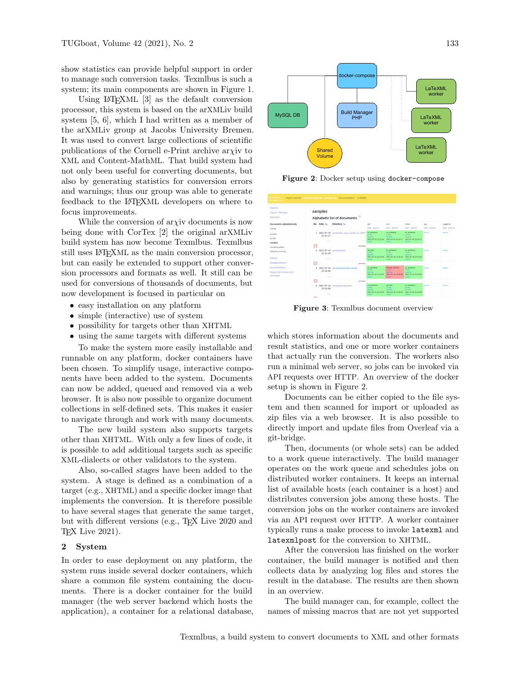show statistics can provide helpful support in order to manage such conversion tasks. Texmlbus is such a system; its main components are shown in Figure [1.](#page-0-0)

Using LATEXML [\[3\]](#page-2-1) as the default conversion processor, this system is based on the arXMLiv build system [\[5,](#page-2-2) [6\]](#page-2-3), which I had written as a member of the arXMLiv group at Jacobs University Bremen. It was used to convert large collections of scientific publications of the Cornell e-Print archive ary iv to XML and Content-MathML. That build system had not only been useful for converting documents, but also by generating statistics for conversion errors and warnings; thus our group was able to generate feedback to the LATEXML developers on where to focus improvements.

While the conversion of  $\langle \rangle$  ary documents is now being done with CorTex [\[2\]](#page-2-4) the original arXMLiv build system has now become Texmlbus. Texmlbus still uses LATEXML as the main conversion processor, but can easily be extended to support other conversion processors and formats as well. It still can be used for conversions of thousands of documents, but now development is focused in particular on

- easy installation on any platform
- simple (interactive) use of system
- possibility for targets other than XHTML
- using the same targets with different systems

To make the system more easily installable and runnable on any platform, docker containers have been chosen. To simplify usage, interactive components have been added to the system. Documents can now be added, queued and removed via a web browser. It is also now possible to organize document collections in self-defined sets. This makes it easier to navigate through and work with many documents.

The new build system also supports targets other than XHTML. With only a few lines of code, it is possible to add additional targets such as specific XML-dialects or other validators to the system.

Also, so-called stages have been added to the system. A stage is defined as a combination of a target (e.g., XHTML) and a specific docker image that implements the conversion. It is therefore possible to have several stages that generate the same target, but with different versions (e.g., TEX Live 2020 and TEX Live 2021).

### 2 System

In order to ease deployment on any platform, the system runs inside several docker containers, which share a common file system containing the documents. There is a docker container for the build manager (the web server backend which hosts the application), a container for a relational database,



<span id="page-1-0"></span>Figure 2: Docker setup using docker-compose



<span id="page-1-1"></span>Figure 3: Texmlbus document overview

which stores information about the documents and result statistics, and one or more worker containers that actually run the conversion. The workers also run a minimal web server, so jobs can be invoked via API requests over HTTP. An overview of the docker setup is shown in Figure [2.](#page-1-0)

Documents can be either copied to the file system and then scanned for import or uploaded as zip files via a web browser. It is also possible to directly import and update files from Overleaf via a git-bridge.

Then, documents (or whole sets) can be added to a work queue interactively. The build manager operates on the work queue and schedules jobs on distributed worker containers. It keeps an internal list of available hosts (each container is a host) and distributes conversion jobs among these hosts. The conversion jobs on the worker containers are invoked via an API request over HTTP. A worker container typically runs a make process to invoke latexml and latexmlpost for the conversion to XHTML.

After the conversion has finished on the worker container, the build manager is notified and then collects data by analyzing log files and stores the result in the database. The results are then shown in an overview.

The build manager can, for example, collect the names of missing macros that are not yet supported